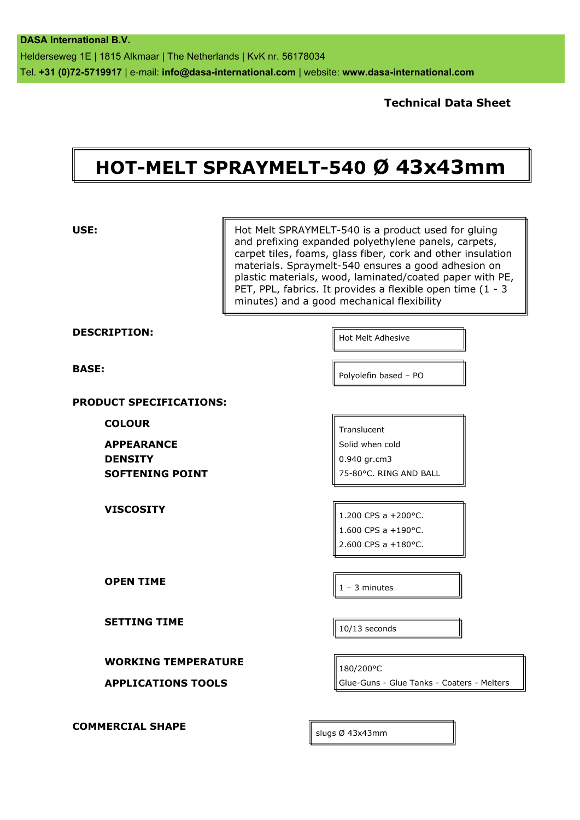**Technical Data Sheet**

## **HOT-MELT SPRAYMELT-540 Ø 43x43mm**

| USE:                                                                           | Hot Melt SPRAYMELT-540 is a product used for gluing<br>and prefixing expanded polyethylene panels, carpets,<br>carpet tiles, foams, glass fiber, cork and other insulation<br>materials. Spraymelt-540 ensures a good adhesion on<br>plastic materials, wood, laminated/coated paper with PE,<br>PET, PPL, fabrics. It provides a flexible open time (1 - 3<br>minutes) and a good mechanical flexibility |
|--------------------------------------------------------------------------------|-----------------------------------------------------------------------------------------------------------------------------------------------------------------------------------------------------------------------------------------------------------------------------------------------------------------------------------------------------------------------------------------------------------|
| <b>DESCRIPTION:</b>                                                            | Hot Melt Adhesive                                                                                                                                                                                                                                                                                                                                                                                         |
| <b>BASE:</b>                                                                   | Polyolefin based - PO                                                                                                                                                                                                                                                                                                                                                                                     |
| <b>PRODUCT SPECIFICATIONS:</b>                                                 |                                                                                                                                                                                                                                                                                                                                                                                                           |
| <b>COLOUR</b><br><b>APPEARANCE</b><br><b>DENSITY</b><br><b>SOFTENING POINT</b> | Translucent<br>Solid when cold<br>0.940 gr.cm3<br>75-80°C. RING AND BALL                                                                                                                                                                                                                                                                                                                                  |
| <b>VISCOSITY</b>                                                               | 1.200 CPS a +200°C.<br>1.600 CPS a +190 °C.<br>2.600 CPS a +180°C.                                                                                                                                                                                                                                                                                                                                        |
| <b>OPEN TIME</b>                                                               | $1 - 3$ minutes                                                                                                                                                                                                                                                                                                                                                                                           |
| <b>SETTING TIME</b>                                                            | 10/13 seconds                                                                                                                                                                                                                                                                                                                                                                                             |
| <b>WORKING TEMPERATURE</b>                                                     |                                                                                                                                                                                                                                                                                                                                                                                                           |
| <b>APPLICATIONS TOOLS</b>                                                      | 180/200°C<br>Glue-Guns - Glue Tanks - Coaters - Melters                                                                                                                                                                                                                                                                                                                                                   |
| <b>COMMERCIAL SHAPE</b>                                                        | slugs Ø 43x43mm                                                                                                                                                                                                                                                                                                                                                                                           |